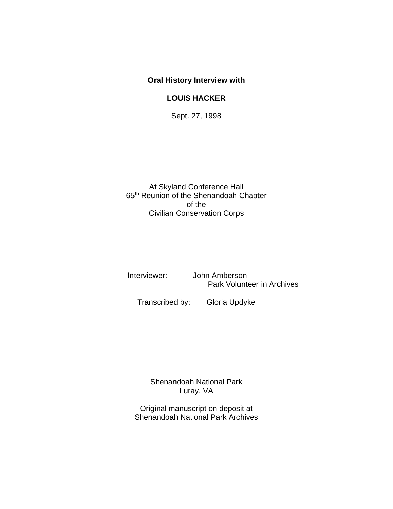### **Oral History Interview with**

### **LOUIS HACKER**

Sept. 27, 1998

At Skyland Conference Hall 65th Reunion of the Shenandoah Chapter of the Civilian Conservation Corps

 Interviewer: John Amberson Park Volunteer in Archives

Transcribed by: Gloria Updyke

Shenandoah National Park Luray, VA

Original manuscript on deposit at Shenandoah National Park Archives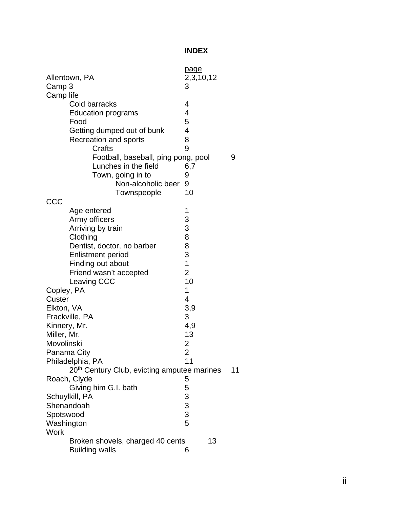# **INDEX**

| Allentown, PA                                           | page<br>2,3,10,12                            |    |
|---------------------------------------------------------|----------------------------------------------|----|
| Camp 3                                                  | 3                                            |    |
| Camp life                                               |                                              |    |
| Cold barracks                                           | 4                                            |    |
|                                                         | 4                                            |    |
| <b>Education programs</b><br>Food                       | 5                                            |    |
|                                                         | 4                                            |    |
| Getting dumped out of bunk                              |                                              |    |
| Recreation and sports                                   | 8                                            |    |
| Crafts                                                  | 9                                            |    |
| Football, baseball, ping pong, pool                     |                                              | 9  |
| Lunches in the field                                    | 6,7                                          |    |
| Town, going in to                                       | 9                                            |    |
| Non-alcoholic beer                                      | 9                                            |    |
| Townspeople                                             | 10                                           |    |
| CCC                                                     |                                              |    |
| Age entered                                             | 1                                            |    |
| Army officers                                           | $\begin{array}{c} 3 \\ 3 \\ 8 \end{array}$   |    |
| Arriving by train                                       |                                              |    |
| Clothing                                                |                                              |    |
| Dentist, doctor, no barber                              | 8                                            |    |
| <b>Enlistment period</b>                                | 3                                            |    |
| Finding out about                                       | $\overline{1}$                               |    |
| Friend wasn't accepted                                  | $\overline{2}$                               |    |
| Leaving CCC                                             | 10                                           |    |
| Copley, PA                                              | 1                                            |    |
| Custer                                                  | 4                                            |    |
| Elkton, VA                                              | 3,9                                          |    |
| Frackville, PA                                          | 3                                            |    |
| Kinnery, Mr.                                            | 4,9                                          |    |
| Miller, Mr.                                             | 13                                           |    |
| Movolinski                                              | $\overline{\mathbf{c}}$                      |    |
| Panama City                                             | $\overline{2}$                               |    |
| Philadelphia, PA                                        | 11                                           |    |
| 20 <sup>th</sup> Century Club, evicting amputee marines |                                              | 11 |
| Roach, Clyde                                            | 5                                            |    |
| Giving him G.I. bath                                    | 5                                            |    |
| Schuylkill, PA                                          |                                              |    |
| Shenandoah                                              |                                              |    |
| Spotswood                                               |                                              |    |
| Washington                                              | $\begin{array}{c}\n3 \\ 3 \\ 5\n\end{array}$ |    |
| <b>Work</b>                                             |                                              |    |
| 13<br>Broken shovels, charged 40 cents                  |                                              |    |
| <b>Building walls</b>                                   | 6                                            |    |
|                                                         |                                              |    |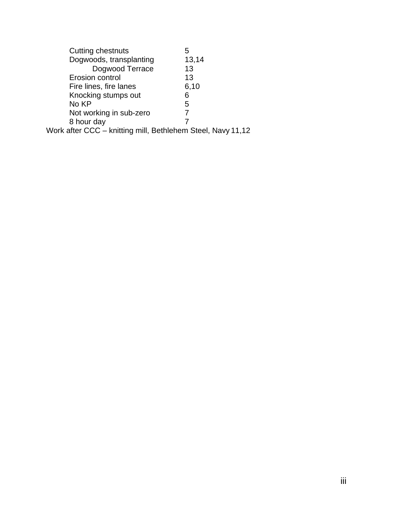| <b>Cutting chestnuts</b>                                    | 5     |  |
|-------------------------------------------------------------|-------|--|
| Dogwoods, transplanting                                     | 13,14 |  |
| Dogwood Terrace                                             | 13    |  |
| Erosion control                                             | 13    |  |
| Fire lines, fire lanes                                      | 6,10  |  |
| Knocking stumps out                                         | 6     |  |
| No KP                                                       | 5     |  |
| Not working in sub-zero                                     | 7     |  |
| 8 hour day                                                  |       |  |
| Work after CCC - knitting mill, Bethlehem Steel, Navy 11,12 |       |  |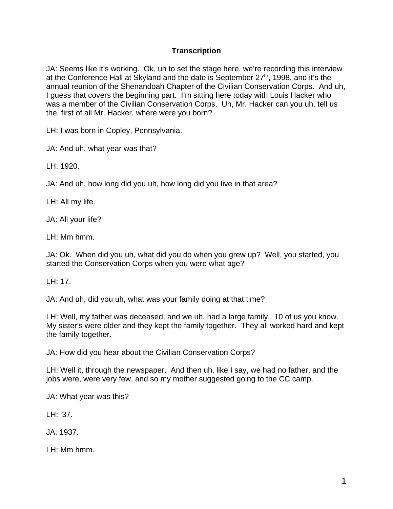## **Transcription**

JA: Seems like it's working. Ok, uh to set the stage here, we're recording this interview at the Conference Hall at Skyland and the date is September  $27<sup>th</sup>$ , 1998, and it's the annual reunion of the Shenandoah Chapter of the Civilian Conservation Corps. And uh, I guess that covers the beginning part. I'm sitting here today with Louis Hacker who was a member of the Civilian Conservation Corps. Uh, Mr. Hacker can you uh, tell us the, first of all Mr. Hacker, where were you born?

LH: I was born in Copley, Pennsylvania.

JA: And uh, what year was that?

LH: 1920.

JA: And uh, how long did you uh, how long did you live in that area?

LH: All my life.

JA: All your life?

LH: Mm hmm.

JA: Ok. When did you uh, what did you do when you grew up? Well, you started, you started the Conservation Corps when you were what age?

LH: 17.

JA: And uh, did you uh, what was your family doing at that time?

LH: Well, my father was deceased, and we uh, had a large family. 10 of us you know. My sister's were older and they kept the family together. They all worked hard and kept the family together.

JA: How did you hear about the Civilian Conservation Corps?

LH: Well it, through the newspaper. And then uh, like I say, we had no father, and the jobs were, were very few, and so my mother suggested going to the CC camp.

JA: What year was this?

LH: '37.

JA: 1937.

LH: Mm hmm.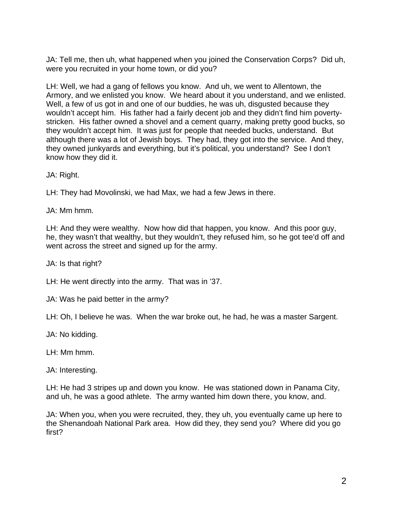JA: Tell me, then uh, what happened when you joined the Conservation Corps? Did uh, were you recruited in your home town, or did you?

LH: Well, we had a gang of fellows you know. And uh, we went to Allentown, the Armory, and we enlisted you know. We heard about it you understand, and we enlisted. Well, a few of us got in and one of our buddies, he was uh, disgusted because they wouldn't accept him. His father had a fairly decent job and they didn't find him povertystricken. His father owned a shovel and a cement quarry, making pretty good bucks, so they wouldn't accept him. It was just for people that needed bucks, understand. But although there was a lot of Jewish boys. They had, they got into the service. And they, they owned junkyards and everything, but it's political, you understand? See I don't know how they did it.

JA: Right.

LH: They had Movolinski, we had Max, we had a few Jews in there.

JA: Mm hmm.

LH: And they were wealthy. Now how did that happen, you know. And this poor guy, he, they wasn't that wealthy, but they wouldn't, they refused him, so he got tee'd off and went across the street and signed up for the army.

JA: Is that right?

LH: He went directly into the army. That was in '37.

JA: Was he paid better in the army?

LH: Oh, I believe he was. When the war broke out, he had, he was a master Sargent.

JA: No kidding.

LH: Mm hmm.

JA: Interesting.

LH: He had 3 stripes up and down you know. He was stationed down in Panama City, and uh, he was a good athlete. The army wanted him down there, you know, and.

JA: When you, when you were recruited, they, they uh, you eventually came up here to the Shenandoah National Park area. How did they, they send you? Where did you go first?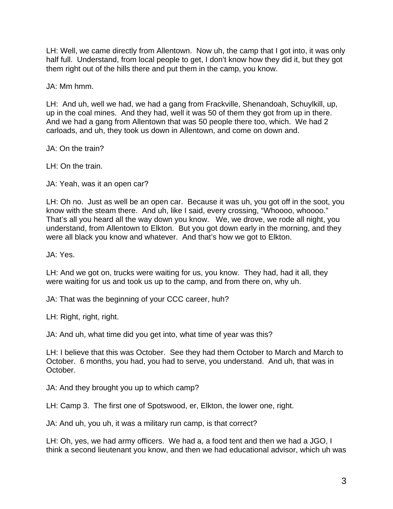LH: Well, we came directly from Allentown. Now uh, the camp that I got into, it was only half full. Understand, from local people to get, I don't know how they did it, but they got them right out of the hills there and put them in the camp, you know.

JA: Mm hmm.

LH: And uh, well we had, we had a gang from Frackville, Shenandoah, Schuylkill, up, up in the coal mines. And they had, well it was 50 of them they got from up in there. And we had a gang from Allentown that was 50 people there too, which. We had 2 carloads, and uh, they took us down in Allentown, and come on down and.

JA: On the train?

LH: On the train.

JA: Yeah, was it an open car?

LH: Oh no. Just as well be an open car. Because it was uh, you got off in the soot, you know with the steam there. And uh, like I said, every crossing, "Whoooo, whoooo." That's all you heard all the way down you know. We, we drove, we rode all night, you understand, from Allentown to Elkton. But you got down early in the morning, and they were all black you know and whatever. And that's how we got to Elkton.

JA: Yes.

LH: And we got on, trucks were waiting for us, you know. They had, had it all, they were waiting for us and took us up to the camp, and from there on, why uh.

JA: That was the beginning of your CCC career, huh?

LH: Right, right, right.

JA: And uh, what time did you get into, what time of year was this?

LH: I believe that this was October. See they had them October to March and March to October. 6 months, you had, you had to serve, you understand. And uh, that was in October.

JA: And they brought you up to which camp?

LH: Camp 3. The first one of Spotswood, er, Elkton, the lower one, right.

JA: And uh, you uh, it was a military run camp, is that correct?

LH: Oh, yes, we had army officers. We had a, a food tent and then we had a JGO, I think a second lieutenant you know, and then we had educational advisor, which uh was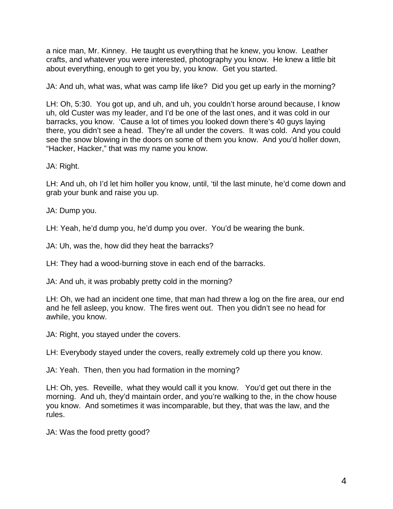a nice man, Mr. Kinney. He taught us everything that he knew, you know. Leather crafts, and whatever you were interested, photography you know. He knew a little bit about everything, enough to get you by, you know. Get you started.

JA: And uh, what was, what was camp life like? Did you get up early in the morning?

LH: Oh, 5:30. You got up, and uh, and uh, you couldn't horse around because, I know uh, old Custer was my leader, and I'd be one of the last ones, and it was cold in our barracks, you know. 'Cause a lot of times you looked down there's 40 guys laying there, you didn't see a head. They're all under the covers. It was cold. And you could see the snow blowing in the doors on some of them you know. And you'd holler down, "Hacker, Hacker," that was my name you know.

JA: Right.

LH: And uh, oh I'd let him holler you know, until, 'til the last minute, he'd come down and grab your bunk and raise you up.

JA: Dump you.

LH: Yeah, he'd dump you, he'd dump you over. You'd be wearing the bunk.

JA: Uh, was the, how did they heat the barracks?

LH: They had a wood-burning stove in each end of the barracks.

JA: And uh, it was probably pretty cold in the morning?

LH: Oh, we had an incident one time, that man had threw a log on the fire area, our end and he fell asleep, you know. The fires went out. Then you didn't see no head for awhile, you know.

JA: Right, you stayed under the covers.

LH: Everybody stayed under the covers, really extremely cold up there you know.

JA: Yeah. Then, then you had formation in the morning?

LH: Oh, yes. Reveille, what they would call it you know. You'd get out there in the morning. And uh, they'd maintain order, and you're walking to the, in the chow house you know. And sometimes it was incomparable, but they, that was the law, and the rules.

JA: Was the food pretty good?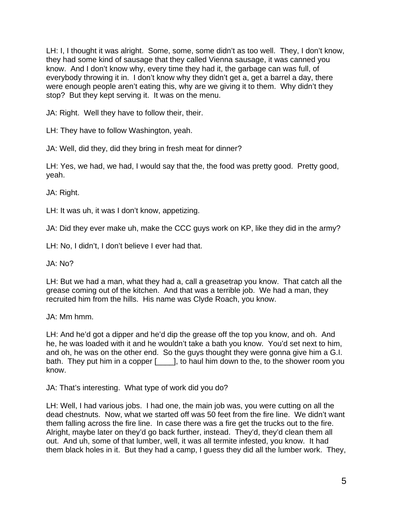LH: I, I thought it was alright. Some, some, some didn't as too well. They, I don't know, they had some kind of sausage that they called Vienna sausage, it was canned you know. And I don't know why, every time they had it, the garbage can was full, of everybody throwing it in. I don't know why they didn't get a, get a barrel a day, there were enough people aren't eating this, why are we giving it to them. Why didn't they stop? But they kept serving it. It was on the menu.

JA: Right. Well they have to follow their, their.

LH: They have to follow Washington, yeah.

JA: Well, did they, did they bring in fresh meat for dinner?

LH: Yes, we had, we had, I would say that the, the food was pretty good. Pretty good, yeah.

JA: Right.

LH: It was uh, it was I don't know, appetizing.

JA: Did they ever make uh, make the CCC guys work on KP, like they did in the army?

LH: No, I didn't, I don't believe I ever had that.

JA: No?

LH: But we had a man, what they had a, call a greasetrap you know. That catch all the grease coming out of the kitchen. And that was a terrible job. We had a man, they recruited him from the hills. His name was Clyde Roach, you know.

JA: Mm hmm.

LH: And he'd got a dipper and he'd dip the grease off the top you know, and oh. And he, he was loaded with it and he wouldn't take a bath you know. You'd set next to him, and oh, he was on the other end. So the guys thought they were gonna give him a G.I. bath. They put him in a copper [1, to haul him down to the, to the shower room you know.

JA: That's interesting. What type of work did you do?

LH: Well, I had various jobs. I had one, the main job was, you were cutting on all the dead chestnuts. Now, what we started off was 50 feet from the fire line. We didn't want them falling across the fire line. In case there was a fire get the trucks out to the fire. Alright, maybe later on they'd go back further, instead. They'd, they'd clean them all out. And uh, some of that lumber, well, it was all termite infested, you know. It had them black holes in it. But they had a camp, I guess they did all the lumber work. They,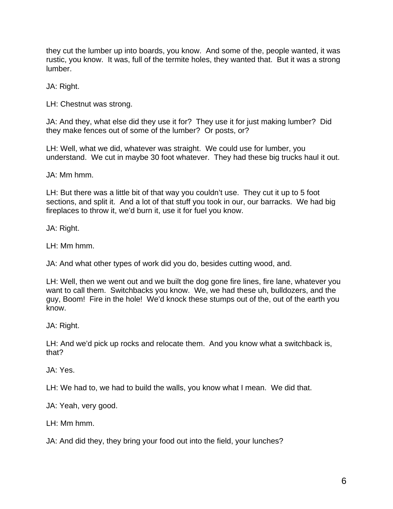they cut the lumber up into boards, you know. And some of the, people wanted, it was rustic, you know. It was, full of the termite holes, they wanted that. But it was a strong lumber.

JA: Right.

LH: Chestnut was strong.

JA: And they, what else did they use it for? They use it for just making lumber? Did they make fences out of some of the lumber? Or posts, or?

LH: Well, what we did, whatever was straight. We could use for lumber, you understand. We cut in maybe 30 foot whatever. They had these big trucks haul it out.

JA: Mm hmm.

LH: But there was a little bit of that way you couldn't use. They cut it up to 5 foot sections, and split it. And a lot of that stuff you took in our, our barracks. We had big fireplaces to throw it, we'd burn it, use it for fuel you know.

JA: Right.

LH: Mm hmm.

JA: And what other types of work did you do, besides cutting wood, and.

LH: Well, then we went out and we built the dog gone fire lines, fire lane, whatever you want to call them. Switchbacks you know. We, we had these uh, bulldozers, and the guy, Boom! Fire in the hole! We'd knock these stumps out of the, out of the earth you know.

JA: Right.

LH: And we'd pick up rocks and relocate them. And you know what a switchback is, that?

JA: Yes.

LH: We had to, we had to build the walls, you know what I mean. We did that.

JA: Yeah, very good.

LH: Mm hmm.

JA: And did they, they bring your food out into the field, your lunches?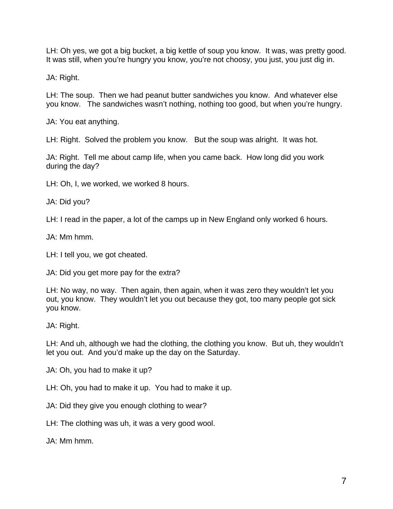LH: Oh yes, we got a big bucket, a big kettle of soup you know. It was, was pretty good. It was still, when you're hungry you know, you're not choosy, you just, you just dig in.

JA: Right.

LH: The soup. Then we had peanut butter sandwiches you know. And whatever else you know. The sandwiches wasn't nothing, nothing too good, but when you're hungry.

JA: You eat anything.

LH: Right. Solved the problem you know. But the soup was alright. It was hot.

JA: Right. Tell me about camp life, when you came back. How long did you work during the day?

LH: Oh, I, we worked, we worked 8 hours.

JA: Did you?

LH: I read in the paper, a lot of the camps up in New England only worked 6 hours.

JA: Mm hmm.

LH: I tell you, we got cheated.

JA: Did you get more pay for the extra?

LH: No way, no way. Then again, then again, when it was zero they wouldn't let you out, you know. They wouldn't let you out because they got, too many people got sick you know.

JA: Right.

LH: And uh, although we had the clothing, the clothing you know. But uh, they wouldn't let you out. And you'd make up the day on the Saturday.

JA: Oh, you had to make it up?

LH: Oh, you had to make it up. You had to make it up.

JA: Did they give you enough clothing to wear?

LH: The clothing was uh, it was a very good wool.

JA: Mm hmm.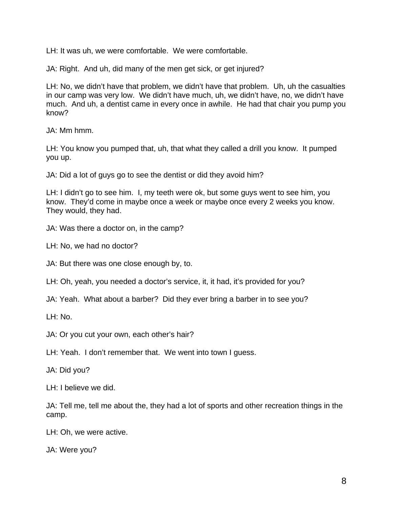LH: It was uh, we were comfortable. We were comfortable.

JA: Right. And uh, did many of the men get sick, or get injured?

LH: No, we didn't have that problem, we didn't have that problem. Uh, uh the casualties in our camp was very low. We didn't have much, uh, we didn't have, no, we didn't have much. And uh, a dentist came in every once in awhile. He had that chair you pump you know?

JA: Mm hmm.

LH: You know you pumped that, uh, that what they called a drill you know. It pumped you up.

JA: Did a lot of guys go to see the dentist or did they avoid him?

LH: I didn't go to see him. I, my teeth were ok, but some guys went to see him, you know. They'd come in maybe once a week or maybe once every 2 weeks you know. They would, they had.

JA: Was there a doctor on, in the camp?

LH: No, we had no doctor?

JA: But there was one close enough by, to.

LH: Oh, yeah, you needed a doctor's service, it, it had, it's provided for you?

JA: Yeah. What about a barber? Did they ever bring a barber in to see you?

LH: No.

JA: Or you cut your own, each other's hair?

LH: Yeah. I don't remember that. We went into town I guess.

JA: Did you?

LH: I believe we did.

JA: Tell me, tell me about the, they had a lot of sports and other recreation things in the camp.

LH: Oh, we were active.

JA: Were you?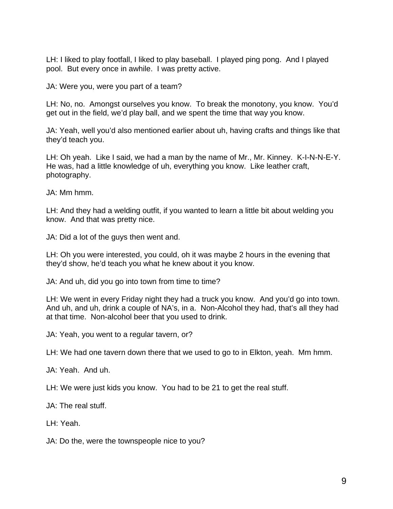LH: I liked to play footfall, I liked to play baseball. I played ping pong. And I played pool. But every once in awhile. I was pretty active.

JA: Were you, were you part of a team?

LH: No, no. Amongst ourselves you know. To break the monotony, you know. You'd get out in the field, we'd play ball, and we spent the time that way you know.

JA: Yeah, well you'd also mentioned earlier about uh, having crafts and things like that they'd teach you.

LH: Oh yeah. Like I said, we had a man by the name of Mr., Mr. Kinney. K-I-N-N-E-Y. He was, had a little knowledge of uh, everything you know. Like leather craft, photography.

JA: Mm hmm.

LH: And they had a welding outfit, if you wanted to learn a little bit about welding you know. And that was pretty nice.

JA: Did a lot of the guys then went and.

LH: Oh you were interested, you could, oh it was maybe 2 hours in the evening that they'd show, he'd teach you what he knew about it you know.

JA: And uh, did you go into town from time to time?

LH: We went in every Friday night they had a truck you know. And you'd go into town. And uh, and uh, drink a couple of NA's, in a. Non-Alcohol they had, that's all they had at that time. Non-alcohol beer that you used to drink.

JA: Yeah, you went to a regular tavern, or?

LH: We had one tavern down there that we used to go to in Elkton, yeah. Mm hmm.

JA: Yeah. And uh.

LH: We were just kids you know. You had to be 21 to get the real stuff.

JA: The real stuff.

LH: Yeah.

JA: Do the, were the townspeople nice to you?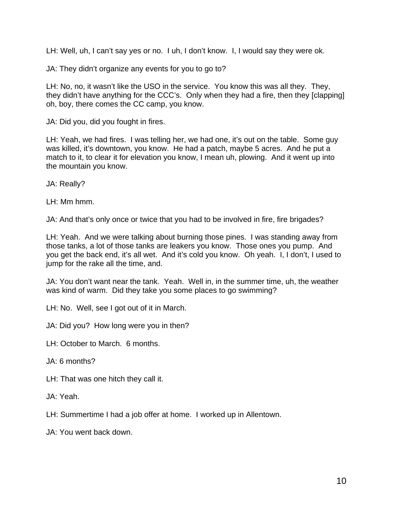LH: Well, uh, I can't say yes or no. I uh, I don't know. I, I would say they were ok.

JA: They didn't organize any events for you to go to?

LH: No, no, it wasn't like the USO in the service. You know this was all they. They, they didn't have anything for the CCC's. Only when they had a fire, then they [clapping] oh, boy, there comes the CC camp, you know.

JA: Did you, did you fought in fires.

LH: Yeah, we had fires. I was telling her, we had one, it's out on the table. Some guy was killed, it's downtown, you know. He had a patch, maybe 5 acres. And he put a match to it, to clear it for elevation you know, I mean uh, plowing. And it went up into the mountain you know.

JA: Really?

LH: Mm hmm.

JA: And that's only once or twice that you had to be involved in fire, fire brigades?

LH: Yeah. And we were talking about burning those pines. I was standing away from those tanks, a lot of those tanks are leakers you know. Those ones you pump. And you get the back end, it's all wet. And it's cold you know. Oh yeah. I, I don't, I used to jump for the rake all the time, and.

JA: You don't want near the tank. Yeah. Well in, in the summer time, uh, the weather was kind of warm. Did they take you some places to go swimming?

LH: No. Well, see I got out of it in March.

JA: Did you? How long were you in then?

LH: October to March. 6 months.

JA: 6 months?

LH: That was one hitch they call it.

JA: Yeah.

LH: Summertime I had a job offer at home. I worked up in Allentown.

JA: You went back down.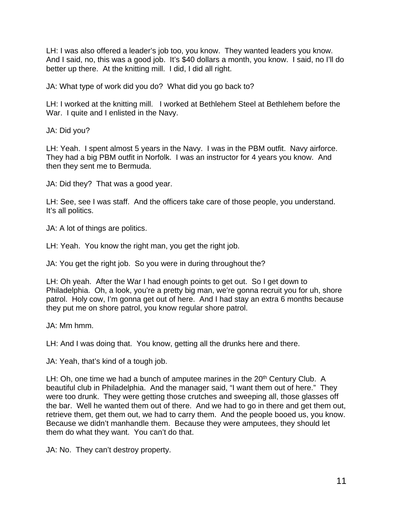LH: I was also offered a leader's job too, you know. They wanted leaders you know. And I said, no, this was a good job. It's \$40 dollars a month, you know. I said, no I'll do better up there. At the knitting mill. I did, I did all right.

JA: What type of work did you do? What did you go back to?

LH: I worked at the knitting mill. I worked at Bethlehem Steel at Bethlehem before the War. I quite and I enlisted in the Navy.

JA: Did you?

LH: Yeah. I spent almost 5 years in the Navy. I was in the PBM outfit. Navy airforce. They had a big PBM outfit in Norfolk. I was an instructor for 4 years you know. And then they sent me to Bermuda.

JA: Did they? That was a good year.

LH: See, see I was staff. And the officers take care of those people, you understand. It's all politics.

JA: A lot of things are politics.

LH: Yeah. You know the right man, you get the right job.

JA: You get the right job. So you were in during throughout the?

LH: Oh yeah. After the War I had enough points to get out. So I get down to Philadelphia. Oh, a look, you're a pretty big man, we're gonna recruit you for uh, shore patrol. Holy cow, I'm gonna get out of here. And I had stay an extra 6 months because they put me on shore patrol, you know regular shore patrol.

JA: Mm hmm.

LH: And I was doing that. You know, getting all the drunks here and there.

JA: Yeah, that's kind of a tough job.

LH: Oh, one time we had a bunch of amputee marines in the 20<sup>th</sup> Century Club. A beautiful club in Philadelphia. And the manager said, "I want them out of here." They were too drunk. They were getting those crutches and sweeping all, those glasses off the bar. Well he wanted them out of there. And we had to go in there and get them out, retrieve them, get them out, we had to carry them. And the people booed us, you know. Because we didn't manhandle them. Because they were amputees, they should let them do what they want. You can't do that.

JA: No. They can't destroy property.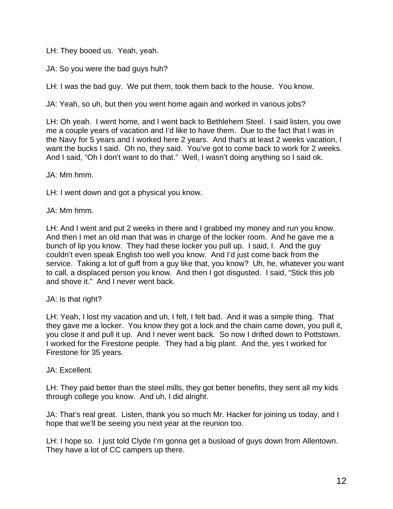LH: They booed us. Yeah, yeah.

JA: So you were the bad guys huh?

LH: I was the bad guy. We put them, took them back to the house. You know.

JA: Yeah, so uh, but then you went home again and worked in various jobs?

LH: Oh yeah. I went home, and I went back to Bethlehem Steel. I said listen, you owe me a couple years of vacation and I'd like to have them. Due to the fact that I was in the Navy for 5 years and I worked here 2 years. And that's at least 2 weeks vacation, I want the bucks I said. Oh no, they said. You've got to come back to work for 2 weeks. And I said, "Oh I don't want to do that." Well, I wasn't doing anything so I said ok.

JA: Mm hmm.

LH: I went down and got a physical you know.

JA: Mm hmm.

LH: And I went and put 2 weeks in there and I grabbed my money and run you know. And then I met an old man that was in charge of the locker room. And he gave me a bunch of lip you know. They had these locker you pull up. I said, I. And the guy couldn't even speak English too well you know. And I'd just come back from the service. Taking a lot of guff from a guy like that, you know? Uh, he, whatever you want to call, a displaced person you know. And then I got disgusted. I said, "Stick this job and shove it." And I never went back.

JA: Is that right?

LH: Yeah, I lost my vacation and uh, I felt, I felt bad. And it was a simple thing. That they gave me a locker. You know they got a lock and the chain came down, you pull it, you close it and pull it up. And I never went back. So now I drifted down to Pottstown. I worked for the Firestone people. They had a big plant. And the, yes I worked for Firestone for 35 years.

#### JA: Excellent.

LH: They paid better than the steel mills, they got better benefits, they sent all my kids through college you know. And uh, I did alright.

JA: That's real great. Listen, thank you so much Mr. Hacker for joining us today, and I hope that we'll be seeing you next year at the reunion too.

LH: I hope so. I just told Clyde I'm gonna get a busload of guys down from Allentown. They have a lot of CC campers up there.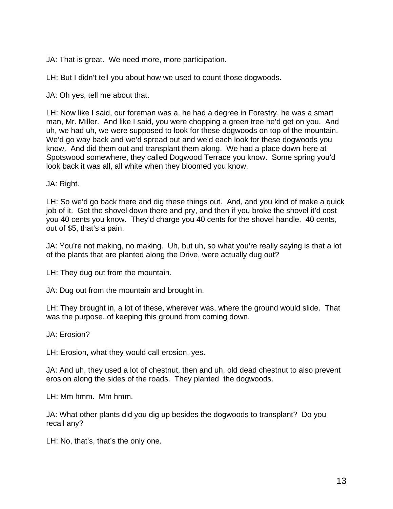JA: That is great. We need more, more participation.

LH: But I didn't tell you about how we used to count those dogwoods.

JA: Oh yes, tell me about that.

LH: Now like I said, our foreman was a, he had a degree in Forestry, he was a smart man, Mr. Miller. And like I said, you were chopping a green tree he'd get on you. And uh, we had uh, we were supposed to look for these dogwoods on top of the mountain. We'd go way back and we'd spread out and we'd each look for these dogwoods you know. And did them out and transplant them along. We had a place down here at Spotswood somewhere, they called Dogwood Terrace you know. Some spring you'd look back it was all, all white when they bloomed you know.

JA: Right.

LH: So we'd go back there and dig these things out. And, and you kind of make a quick job of it. Get the shovel down there and pry, and then if you broke the shovel it'd cost you 40 cents you know. They'd charge you 40 cents for the shovel handle. 40 cents, out of \$5, that's a pain.

JA: You're not making, no making. Uh, but uh, so what you're really saying is that a lot of the plants that are planted along the Drive, were actually dug out?

LH: They dug out from the mountain.

JA: Dug out from the mountain and brought in.

LH: They brought in, a lot of these, wherever was, where the ground would slide. That was the purpose, of keeping this ground from coming down.

JA: Erosion?

LH: Erosion, what they would call erosion, yes.

JA: And uh, they used a lot of chestnut, then and uh, old dead chestnut to also prevent erosion along the sides of the roads. They planted the dogwoods.

LH: Mm hmm. Mm hmm.

JA: What other plants did you dig up besides the dogwoods to transplant? Do you recall any?

LH: No, that's, that's the only one.